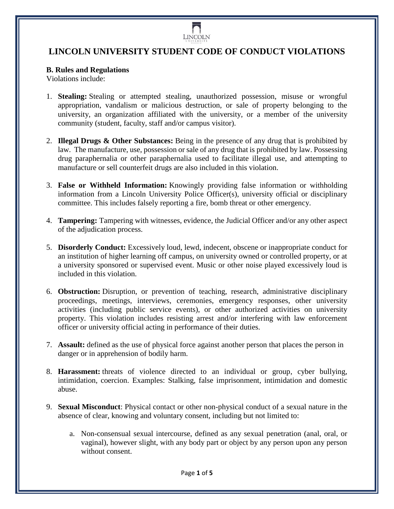

## **LINCOLN UNIVERSITY STUDENT CODE OF CONDUCT VIOLATIONS**

## **B. Rules and Regulations**

Violations include:

- 1. **Stealing:** Stealing or attempted stealing, unauthorized possession, misuse or wrongful appropriation, vandalism or malicious destruction, or sale of property belonging to the university, an organization affiliated with the university, or a member of the university community (student, faculty, staff and/or campus visitor).
- 2. **Illegal Drugs & Other Substances:** Being in the presence of any drug that is prohibited by law. The manufacture, use, possession or sale of any drug that is prohibited by law. Possessing drug paraphernalia or other paraphernalia used to facilitate illegal use, and attempting to manufacture or sell counterfeit drugs are also included in this violation.
- 3. **False or Withheld Information:** Knowingly providing false information or withholding information from a Lincoln University Police Officer(s), university official or disciplinary committee. This includes falsely reporting a fire, bomb threat or other emergency.
- 4. **Tampering:** Tampering with witnesses, evidence, the Judicial Officer and/or any other aspect of the adjudication process.
- 5. **Disorderly Conduct:** Excessively loud, lewd, indecent, obscene or inappropriate conduct for an institution of higher learning off campus, on university owned or controlled property, or at a university sponsored or supervised event. Music or other noise played excessively loud is included in this violation.
- 6. **Obstruction:** Disruption, or prevention of teaching, research, administrative disciplinary proceedings, meetings, interviews, ceremonies, emergency responses, other university activities (including public service events), or other authorized activities on university property. This violation includes resisting arrest and/or interfering with law enforcement officer or university official acting in performance of their duties.
- 7. **Assault:** defined as the use of physical force against another person that places the person in danger or in apprehension of bodily harm.
- 8. **Harassment:** threats of violence directed to an individual or group, cyber bullying, intimidation, coercion. Examples: Stalking, false imprisonment, intimidation and domestic abuse.
- 9. **Sexual Misconduct**: Physical contact or other non-physical conduct of a sexual nature in the absence of clear, knowing and voluntary consent, including but not limited to:
	- a. Non-consensual sexual intercourse, defined as any sexual penetration (anal, oral, or vaginal), however slight, with any body part or object by any person upon any person without consent.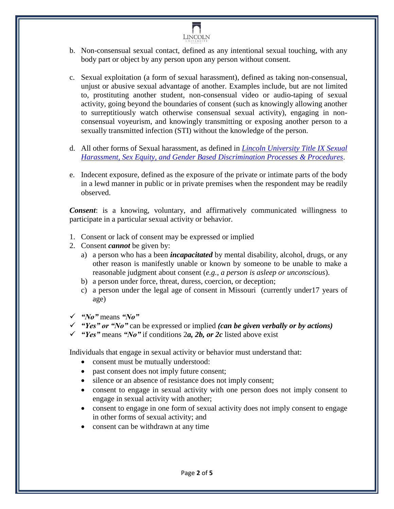

- b. Non-consensual sexual contact, defined as any intentional sexual touching, with any body part or object by any person upon any person without consent.
- c. Sexual exploitation (a form of sexual harassment), defined as taking non-consensual, unjust or abusive sexual advantage of another. Examples include, but are not limited to, prostituting another student, non-consensual video or audio-taping of sexual activity, going beyond the boundaries of consent (such as knowingly allowing another to surreptitiously watch otherwise consensual sexual activity), engaging in nonconsensual voyeurism, and knowingly transmitting or exposing another person to a sexually transmitted infection (STI) without the knowledge of the person.
- d. All other forms of Sexual harassment, as defined in *[Lincoln University Title IX Sexual](https://bluetigerportal.lincolnu.edu/web/police-department/title-ix-processes-and-procedures)  [Harassment, Sex Equity, and Gender Based Discrimination Processes & Procedures](https://bluetigerportal.lincolnu.edu/web/police-department/title-ix-processes-and-procedures)*.
- e. Indecent exposure, defined as the exposure of the private or intimate parts of the body in a lewd manner in public or in private premises when the respondent may be readily observed.

*Consent*: is a knowing, voluntary, and affirmatively communicated willingness to participate in a particular sexual activity or behavior.

- 1. Consent or lack of consent may be expressed or implied
- 2. Consent *cannot* be given by:
	- a) a person who has a been *incapacitated* by mental disability, alcohol, drugs, or any other reason is manifestly unable or known by someone to be unable to make a reasonable judgment about consent (*e.g., a person is asleep or unconscious*).
	- b) a person under force, threat, duress, coercion, or deception;
	- c) a person under the legal age of consent in Missouri (currently under17 years of age)
- *"No"* means *"No"*
- *"Yes" or "No"* can be expressed or implied *(can be given verbally or by actions)*
- *"Yes"* means *"No"* if conditions 2*a, 2b, or 2c* listed above exist

Individuals that engage in sexual activity or behavior must understand that:

- consent must be mutually understood:
- past consent does not imply future consent;
- silence or an absence of resistance does not imply consent;
- consent to engage in sexual activity with one person does not imply consent to engage in sexual activity with another;
- consent to engage in one form of sexual activity does not imply consent to engage in other forms of sexual activity; and
- consent can be withdrawn at any time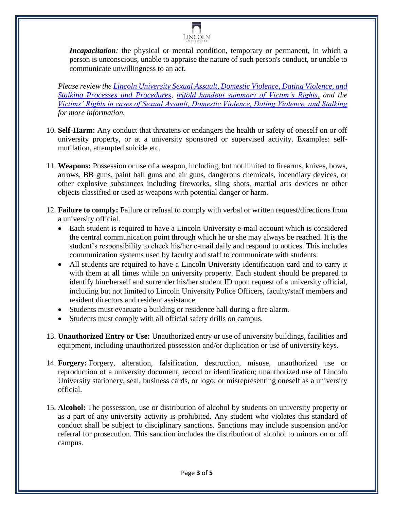

*Incapacitation*: the physical or mental condition, temporary or permanent, in which a person is unconscious, unable to appraise the nature of such person's conduct, or unable to communicate unwillingness to an act.

*Please review the [Lincoln University Sexual Assault, Domestic Violence, Dating Violence, and](https://bluetigerportal.lincolnu.edu/c/document_library/get_file?p_l_id=142227&folderId=2878707&name=DLFE-21701.pdf)  Stalking [Processes and Procedures](https://bluetigerportal.lincolnu.edu/c/document_library/get_file?p_l_id=142227&folderId=2878707&name=DLFE-21701.pdf)*, *[trifold handout summary of Victim's Rights,](https://bluetigerportal.lincolnu.edu/c/document_library/get_file?uuid=62174253-9972-4308-8597-3d6b4e7bc3e8&groupId=23376) and the [Victims' Rights in cases of Sexual Assault, Domestic Violence, Dating Violence, and Stalking](https://bluetigerportal.lincolnu.edu/c/document_library/get_file?uuid=2faf63c1-08d9-468e-8b59-44f602b18598&groupId=23376) for more information.*

- 10. **Self-Harm:** Any conduct that threatens or endangers the health or safety of oneself on or off university property, or at a university sponsored or supervised activity. Examples: selfmutilation, attempted suicide etc.
- 11. **Weapons:** Possession or use of a weapon, including, but not limited to firearms, knives, bows, arrows, BB guns, paint ball guns and air guns, dangerous chemicals, incendiary devices, or other explosive substances including fireworks, sling shots, martial arts devices or other objects classified or used as weapons with potential danger or harm.
- 12. **Failure to comply:** Failure or refusal to comply with verbal or written request/directions from a university official.
	- Each student is required to have a Lincoln University e-mail account which is considered the central communication point through which he or she may always be reached. It is the student's responsibility to check his/her e-mail daily and respond to notices. This includes communication systems used by faculty and staff to communicate with students.
	- All students are required to have a Lincoln University identification card and to carry it with them at all times while on university property. Each student should be prepared to identify him/herself and surrender his/her student ID upon request of a university official, including but not limited to Lincoln University Police Officers, faculty/staff members and resident directors and resident assistance.
	- Students must evacuate a building or residence hall during a fire alarm.
	- Students must comply with all official safety drills on campus.
- 13. **Unauthorized Entry or Use:** Unauthorized entry or use of university buildings, facilities and equipment, including unauthorized possession and/or duplication or use of university keys.
- 14. **Forgery:** Forgery, alteration, falsification, destruction, misuse, unauthorized use or reproduction of a university document, record or identification; unauthorized use of Lincoln University stationery, seal, business cards, or logo; or misrepresenting oneself as a university official.
- 15. **Alcohol:** The possession, use or distribution of alcohol by students on university property or as a part of any university activity is prohibited. Any student who violates this standard of conduct shall be subject to disciplinary sanctions. Sanctions may include suspension and/or referral for prosecution. This sanction includes the distribution of alcohol to minors on or off campus.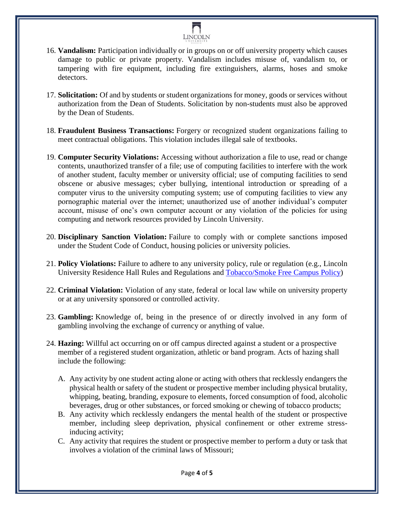

- 16. **Vandalism:** Participation individually or in groups on or off university property which causes damage to public or private property. Vandalism includes misuse of, vandalism to, or tampering with fire equipment, including fire extinguishers, alarms, hoses and smoke detectors.
- 17. **Solicitation:** Of and by students or student organizations for money, goods or services without authorization from the Dean of Students. Solicitation by non-students must also be approved by the Dean of Students.
- 18. **Fraudulent Business Transactions:** Forgery or recognized student organizations failing to meet contractual obligations. This violation includes illegal sale of textbooks.
- 19. **Computer Security Violations:** Accessing without authorization a file to use, read or change contents, unauthorized transfer of a file; use of computing facilities to interfere with the work of another student, faculty member or university official; use of computing facilities to send obscene or abusive messages; cyber bullying, intentional introduction or spreading of a computer virus to the university computing system; use of computing facilities to view any pornographic material over the internet; unauthorized use of another individual's computer account, misuse of one's own computer account or any violation of the policies for using computing and network resources provided by Lincoln University.
- 20. **Disciplinary Sanction Violation:** Failure to comply with or complete sanctions imposed under the Student Code of Conduct, housing policies or university policies.
- 21. **Policy Violations:** Failure to adhere to any university policy, rule or regulation (e.g., Lincoln University Residence Hall Rules and Regulations and [Tobacco/Smoke Free Campus Policy\)](https://bluetigerportal.lincolnu.edu/web/thompkins-health-center/policy)
- 22. **Criminal Violation:** Violation of any state, federal or local law while on university property or at any university sponsored or controlled activity.
- 23. **Gambling:** Knowledge of, being in the presence of or directly involved in any form of gambling involving the exchange of currency or anything of value.
- 24. **Hazing:** Willful act occurring on or off campus directed against a student or a prospective member of a registered student organization, athletic or band program. Acts of hazing shall include the following:
	- A. Any activity by one student acting alone or acting with others that recklessly endangers the physical health or safety of the student or prospective member including physical brutality, whipping, beating, branding, exposure to elements, forced consumption of food, alcoholic beverages, drug or other substances, or forced smoking or chewing of tobacco products;
	- B. Any activity which recklessly endangers the mental health of the student or prospective member, including sleep deprivation, physical confinement or other extreme stressinducing activity;
	- C. Any activity that requires the student or prospective member to perform a duty or task that involves a violation of the criminal laws of Missouri;